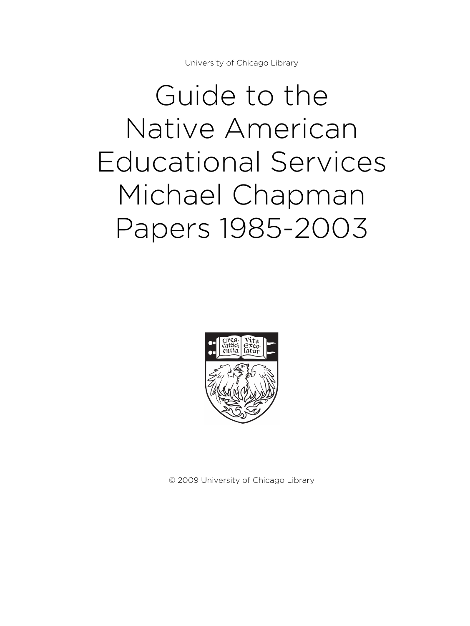University of Chicago Library

# Guide to the Native American Educational Services Michael Chapman Papers 1985-2003



© 2009 University of Chicago Library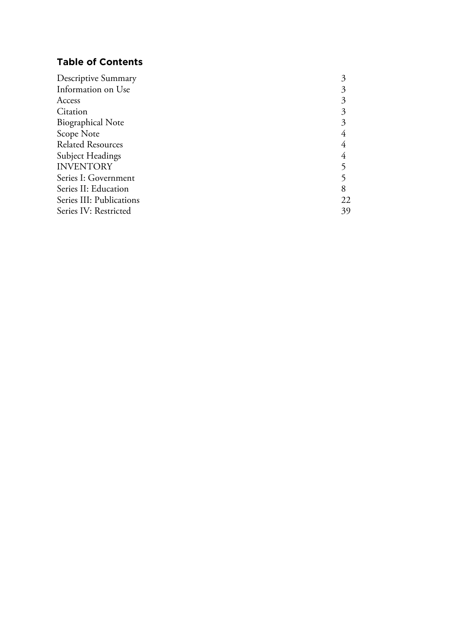# **Table of Contents**

| Information on Use<br>Access |  |
|------------------------------|--|
|                              |  |
|                              |  |
| Citation                     |  |
| <b>Biographical Note</b>     |  |
| Scope Note                   |  |
| <b>Related Resources</b>     |  |
| <b>Subject Headings</b>      |  |
| <b>INVENTORY</b>             |  |
| Series I: Government         |  |
| Series II: Education         |  |
| Series III: Publications     |  |
| Series IV: Restricted        |  |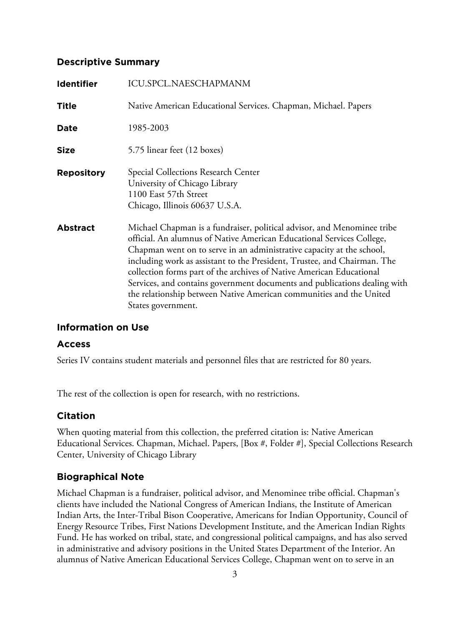# **Descriptive Summary**

| <b>Identifier</b> | <b>ICU.SPCL.NAESCHAPMANM</b>                                                                                                                                                                                                                                                                                                                                                                                                                                                                                                                            |
|-------------------|---------------------------------------------------------------------------------------------------------------------------------------------------------------------------------------------------------------------------------------------------------------------------------------------------------------------------------------------------------------------------------------------------------------------------------------------------------------------------------------------------------------------------------------------------------|
| <b>Title</b>      | Native American Educational Services. Chapman, Michael. Papers                                                                                                                                                                                                                                                                                                                                                                                                                                                                                          |
| Date              | 1985-2003                                                                                                                                                                                                                                                                                                                                                                                                                                                                                                                                               |
| <b>Size</b>       | 5.75 linear feet (12 boxes)                                                                                                                                                                                                                                                                                                                                                                                                                                                                                                                             |
| <b>Repository</b> | Special Collections Research Center<br>University of Chicago Library<br>1100 East 57th Street<br>Chicago, Illinois 60637 U.S.A.                                                                                                                                                                                                                                                                                                                                                                                                                         |
| <b>Abstract</b>   | Michael Chapman is a fundraiser, political advisor, and Menominee tribe<br>official. An alumnus of Native American Educational Services College,<br>Chapman went on to serve in an administrative capacity at the school,<br>including work as assistant to the President, Trustee, and Chairman. The<br>collection forms part of the archives of Native American Educational<br>Services, and contains government documents and publications dealing with<br>the relationship between Native American communities and the United<br>States government. |

# **Information on Use**

# **Access**

Series IV contains student materials and personnel files that are restricted for 80 years.

The rest of the collection is open for research, with no restrictions.

# **Citation**

When quoting material from this collection, the preferred citation is: Native American Educational Services. Chapman, Michael. Papers, [Box #, Folder #], Special Collections Research Center, University of Chicago Library

# **Biographical Note**

Michael Chapman is a fundraiser, political advisor, and Menominee tribe official. Chapman's clients have included the National Congress of American Indians, the Institute of American Indian Arts, the Inter-Tribal Bison Cooperative, Americans for Indian Opportunity, Council of Energy Resource Tribes, First Nations Development Institute, and the American Indian Rights Fund. He has worked on tribal, state, and congressional political campaigns, and has also served in administrative and advisory positions in the United States Department of the Interior. An alumnus of Native American Educational Services College, Chapman went on to serve in an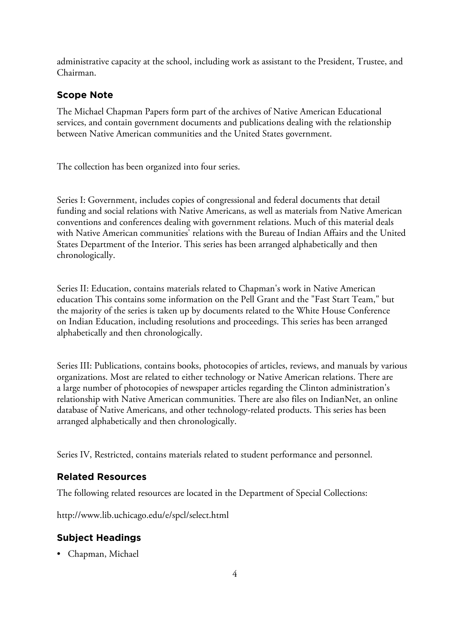administrative capacity at the school, including work as assistant to the President, Trustee, and Chairman.

# **Scope Note**

The Michael Chapman Papers form part of the archives of Native American Educational services, and contain government documents and publications dealing with the relationship between Native American communities and the United States government.

The collection has been organized into four series.

Series I: Government, includes copies of congressional and federal documents that detail funding and social relations with Native Americans, as well as materials from Native American conventions and conferences dealing with government relations. Much of this material deals with Native American communities' relations with the Bureau of Indian Affairs and the United States Department of the Interior. This series has been arranged alphabetically and then chronologically.

Series II: Education, contains materials related to Chapman's work in Native American education This contains some information on the Pell Grant and the "Fast Start Team," but the majority of the series is taken up by documents related to the White House Conference on Indian Education, including resolutions and proceedings. This series has been arranged alphabetically and then chronologically.

Series III: Publications, contains books, photocopies of articles, reviews, and manuals by various organizations. Most are related to either technology or Native American relations. There are a large number of photocopies of newspaper articles regarding the Clinton administration's relationship with Native American communities. There are also files on IndianNet, an online database of Native Americans, and other technology-related products. This series has been arranged alphabetically and then chronologically.

Series IV, Restricted, contains materials related to student performance and personnel.

# **Related Resources**

The following related resources are located in the Department of Special Collections:

http://www.lib.uchicago.edu/e/spcl/select.html

# **Subject Headings**

• Chapman, Michael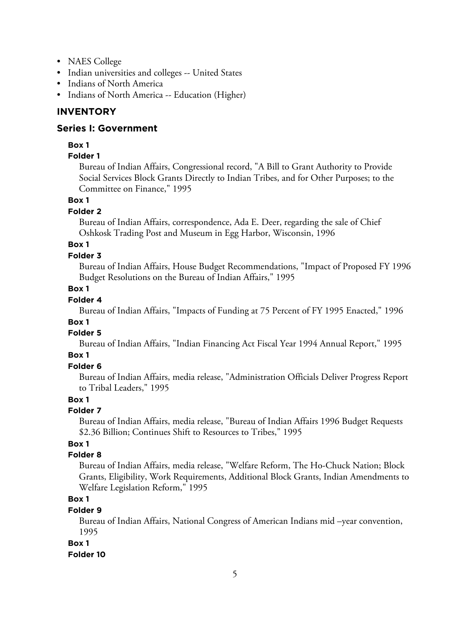- NAES College
- Indian universities and colleges -- United States
- Indians of North America
- Indians of North America -- Education (Higher)

# **INVENTORY**

# **Series I: Government**

# **Box 1**

# **Folder 1**

Bureau of Indian Affairs, Congressional record, "A Bill to Grant Authority to Provide Social Services Block Grants Directly to Indian Tribes, and for Other Purposes; to the Committee on Finance," 1995

# **Box 1**

# **Folder 2**

Bureau of Indian Affairs, correspondence, Ada E. Deer, regarding the sale of Chief Oshkosk Trading Post and Museum in Egg Harbor, Wisconsin, 1996

# **Box 1**

# **Folder 3**

Bureau of Indian Affairs, House Budget Recommendations, "Impact of Proposed FY 1996 Budget Resolutions on the Bureau of Indian Affairs," 1995

# **Box 1**

### **Folder 4**

Bureau of Indian Affairs, "Impacts of Funding at 75 Percent of FY 1995 Enacted," 1996

# **Box 1**

# **Folder 5**

Bureau of Indian Affairs, "Indian Financing Act Fiscal Year 1994 Annual Report," 1995

# **Box 1**

# **Folder 6**

Bureau of Indian Affairs, media release, "Administration Officials Deliver Progress Report to Tribal Leaders," 1995

# **Box 1**

# **Folder 7**

Bureau of Indian Affairs, media release, "Bureau of Indian Affairs 1996 Budget Requests \$2.36 Billion; Continues Shift to Resources to Tribes," 1995

# **Box 1**

# **Folder 8**

Bureau of Indian Affairs, media release, "Welfare Reform, The Ho-Chuck Nation; Block Grants, Eligibility, Work Requirements, Additional Block Grants, Indian Amendments to Welfare Legislation Reform," 1995

# **Box 1**

# **Folder 9**

Bureau of Indian Affairs, National Congress of American Indians mid –year convention, 1995

# **Box 1**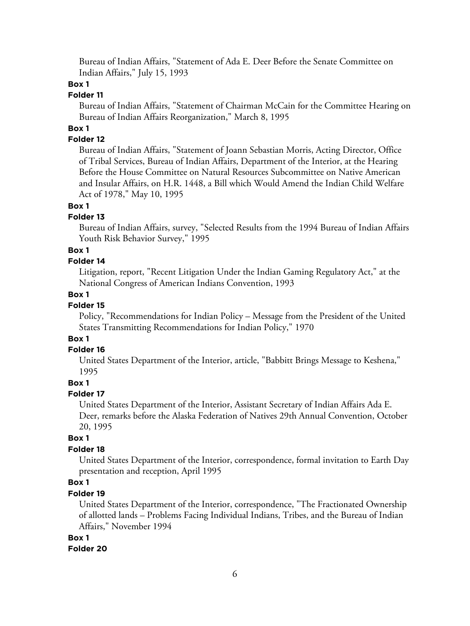Bureau of Indian Affairs, "Statement of Ada E. Deer Before the Senate Committee on Indian Affairs," July 15, 1993

# **Box 1**

### **Folder 11**

Bureau of Indian Affairs, "Statement of Chairman McCain for the Committee Hearing on Bureau of Indian Affairs Reorganization," March 8, 1995

# **Box 1**

### **Folder 12**

Bureau of Indian Affairs, "Statement of Joann Sebastian Morris, Acting Director, Office of Tribal Services, Bureau of Indian Affairs, Department of the Interior, at the Hearing Before the House Committee on Natural Resources Subcommittee on Native American and Insular Affairs, on H.R. 1448, a Bill which Would Amend the Indian Child Welfare Act of 1978," May 10, 1995

# **Box 1**

#### **Folder 13**

Bureau of Indian Affairs, survey, "Selected Results from the 1994 Bureau of Indian Affairs Youth Risk Behavior Survey," 1995

#### **Box 1**

### **Folder 14**

Litigation, report, "Recent Litigation Under the Indian Gaming Regulatory Act," at the National Congress of American Indians Convention, 1993

### **Box 1**

### **Folder 15**

Policy, "Recommendations for Indian Policy – Message from the President of the United States Transmitting Recommendations for Indian Policy," 1970

# **Box 1**

#### **Folder 16**

United States Department of the Interior, article, "Babbitt Brings Message to Keshena," 1995

### **Box 1**

### **Folder 17**

United States Department of the Interior, Assistant Secretary of Indian Affairs Ada E. Deer, remarks before the Alaska Federation of Natives 29th Annual Convention, October 20, 1995

### **Box 1**

### **Folder 18**

United States Department of the Interior, correspondence, formal invitation to Earth Day presentation and reception, April 1995

### **Box 1**

### **Folder 19**

United States Department of the Interior, correspondence, "The Fractionated Ownership of allotted lands – Problems Facing Individual Indians, Tribes, and the Bureau of Indian Affairs," November 1994

#### **Box 1**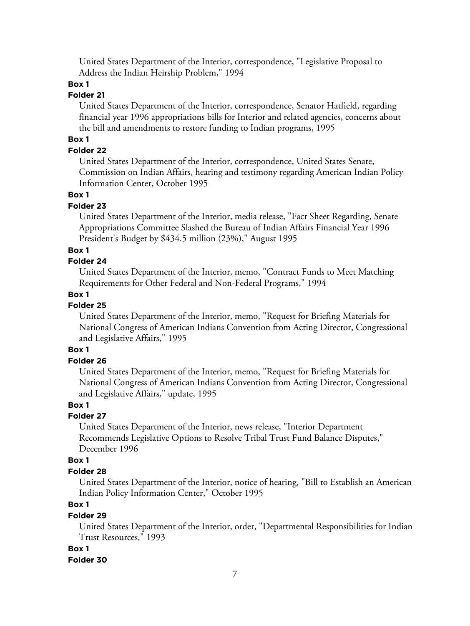United States Department of the Interior, correspondence, "Legislative Proposal to Address the Indian Heirship Problem," 1994

# **Box 1**

# **Folder 21**

United States Department of the Interior, correspondence, Senator Hatfield, regarding financial year 1996 appropriations bills for Interior and related agencies, concerns about the bill and amendments to restore funding to Indian programs, 1995

# **Box 1**

### **Folder 22**

United States Department of the Interior, correspondence, United States Senate, Commission on Indian Affairs, hearing and testimony regarding American Indian Policy Information Center, October 1995

### **Box 1**

### **Folder 23**

United States Department of the Interior, media release, "Fact Sheet Regarding, Senate Appropriations Committee Slashed the Bureau of Indian Affairs Financial Year 1996 President's Budget by \$434.5 million (23%)," August 1995

### **Box 1**

### **Folder 24**

United States Department of the Interior, memo, "Contract Funds to Meet Matching Requirements for Other Federal and Non-Federal Programs," 1994

# **Box 1**

# **Folder 25**

United States Department of the Interior, memo, "Request for Briefing Materials for National Congress of American Indians Convention from Acting Director, Congressional and Legislative Affairs," 1995

# **Box 1**

# **Folder 26**

United States Department of the Interior, memo, "Request for Briefing Materials for National Congress of American Indians Convention from Acting Director, Congressional and Legislative Affairs," update, 1995

### **Box 1**

# **Folder 27**

United States Department of the Interior, news release, "Interior Department Recommends Legislative Options to Resolve Tribal Trust Fund Balance Disputes," December 1996

### **Box 1**

# **Folder 28**

United States Department of the Interior, notice of hearing, "Bill to Establish an American Indian Policy Information Center," October 1995

# **Box 1**

# **Folder 29**

United States Department of the Interior, order, "Departmental Responsibilities for Indian Trust Resources," 1993

### **Box 1**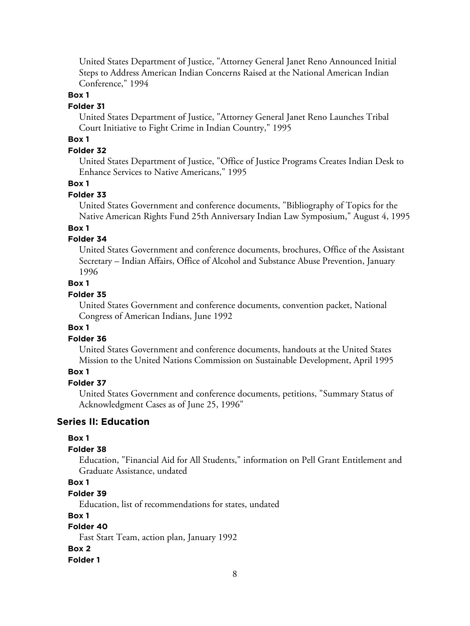United States Department of Justice, "Attorney General Janet Reno Announced Initial Steps to Address American Indian Concerns Raised at the National American Indian Conference," 1994

### **Box 1**

#### **Folder 31**

United States Department of Justice, "Attorney General Janet Reno Launches Tribal Court Initiative to Fight Crime in Indian Country," 1995

# **Box 1**

# **Folder 32**

United States Department of Justice, "Office of Justice Programs Creates Indian Desk to Enhance Services to Native Americans," 1995

#### **Box 1**

#### **Folder 33**

United States Government and conference documents, "Bibliography of Topics for the Native American Rights Fund 25th Anniversary Indian Law Symposium," August 4, 1995

### **Box 1**

# **Folder 34**

United States Government and conference documents, brochures, Office of the Assistant Secretary – Indian Affairs, Office of Alcohol and Substance Abuse Prevention, January 1996

### **Box 1**

# **Folder 35**

United States Government and conference documents, convention packet, National Congress of American Indians, June 1992

### **Box 1**

### **Folder 36**

United States Government and conference documents, handouts at the United States Mission to the United Nations Commission on Sustainable Development, April 1995

# **Box 1**

# **Folder 37**

United States Government and conference documents, petitions, "Summary Status of Acknowledgment Cases as of June 25, 1996"

### **Series II: Education**

### **Box 1**

### **Folder 38**

Education, "Financial Aid for All Students," information on Pell Grant Entitlement and Graduate Assistance, undated

# **Box 1**

# **Folder 39**

Education, list of recommendations for states, undated

### **Box 1**

# **Folder 40**

Fast Start Team, action plan, January 1992

#### **Box 2**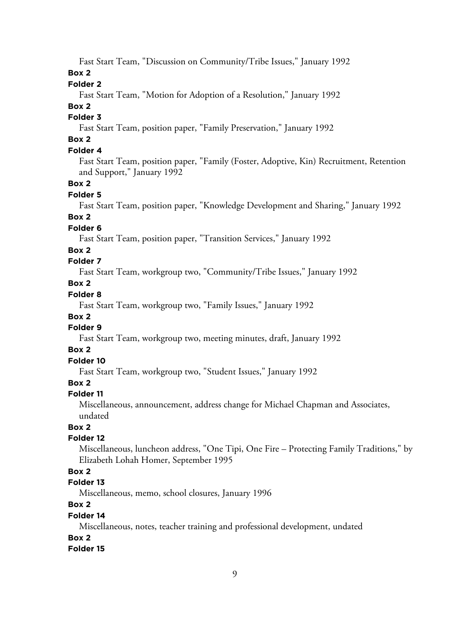Fast Start Team, "Discussion on Community/Tribe Issues," January 1992

**Box 2**

### **Folder 2**

Fast Start Team, "Motion for Adoption of a Resolution," January 1992

### **Box 2**

# **Folder 3**

Fast Start Team, position paper, "Family Preservation," January 1992

# **Box 2**

# **Folder 4**

Fast Start Team, position paper, "Family (Foster, Adoptive, Kin) Recruitment, Retention and Support," January 1992

### **Box 2**

### **Folder 5**

Fast Start Team, position paper, "Knowledge Development and Sharing," January 1992

# **Box 2**

# **Folder 6**

Fast Start Team, position paper, "Transition Services," January 1992

### **Box 2**

# **Folder 7**

Fast Start Team, workgroup two, "Community/Tribe Issues," January 1992

# **Box 2**

# **Folder 8**

Fast Start Team, workgroup two, "Family Issues," January 1992

# **Box 2**

# **Folder 9**

Fast Start Team, workgroup two, meeting minutes, draft, January 1992

# **Box 2**

# **Folder 10**

Fast Start Team, workgroup two, "Student Issues," January 1992

### **Box 2**

### **Folder 11**

Miscellaneous, announcement, address change for Michael Chapman and Associates, undated

# **Box 2**

### **Folder 12**

Miscellaneous, luncheon address, "One Tipi, One Fire – Protecting Family Traditions," by Elizabeth Lohah Homer, September 1995

# **Box 2**

# **Folder 13**

Miscellaneous, memo, school closures, January 1996

# **Box 2**

#### **Folder 14**

Miscellaneous, notes, teacher training and professional development, undated

### **Box 2**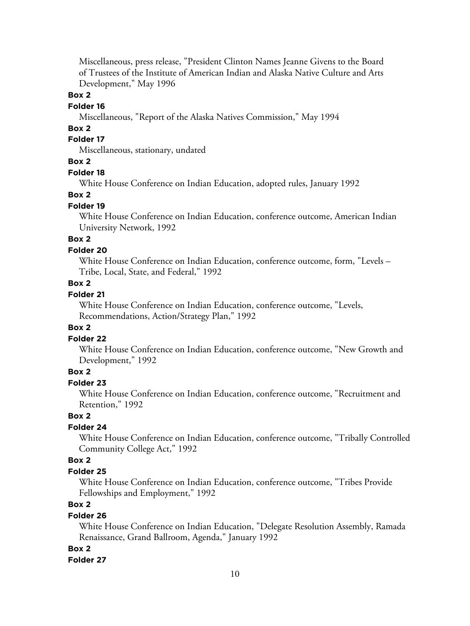Miscellaneous, press release, "President Clinton Names Jeanne Givens to the Board of Trustees of the Institute of American Indian and Alaska Native Culture and Arts Development," May 1996

### **Box 2**

#### **Folder 16**

Miscellaneous, "Report of the Alaska Natives Commission," May 1994

### **Box 2**

# **Folder 17**

Miscellaneous, stationary, undated

# **Box 2**

### **Folder 18**

White House Conference on Indian Education, adopted rules, January 1992

#### **Box 2**

### **Folder 19**

White House Conference on Indian Education, conference outcome, American Indian University Network, 1992

# **Box 2**

### **Folder 20**

White House Conference on Indian Education, conference outcome, form, "Levels – Tribe, Local, State, and Federal," 1992

### **Box 2**

# **Folder 21**

White House Conference on Indian Education, conference outcome, "Levels, Recommendations, Action/Strategy Plan," 1992

### **Box 2**

### **Folder 22**

White House Conference on Indian Education, conference outcome, "New Growth and Development," 1992

### **Box 2**

# **Folder 23**

White House Conference on Indian Education, conference outcome, "Recruitment and Retention," 1992

### **Box 2**

# **Folder 24**

White House Conference on Indian Education, conference outcome, "Tribally Controlled Community College Act," 1992

# **Box 2**

### **Folder 25**

White House Conference on Indian Education, conference outcome, "Tribes Provide Fellowships and Employment," 1992

# **Box 2**

### **Folder 26**

White House Conference on Indian Education, "Delegate Resolution Assembly, Ramada Renaissance, Grand Ballroom, Agenda," January 1992

#### **Box 2**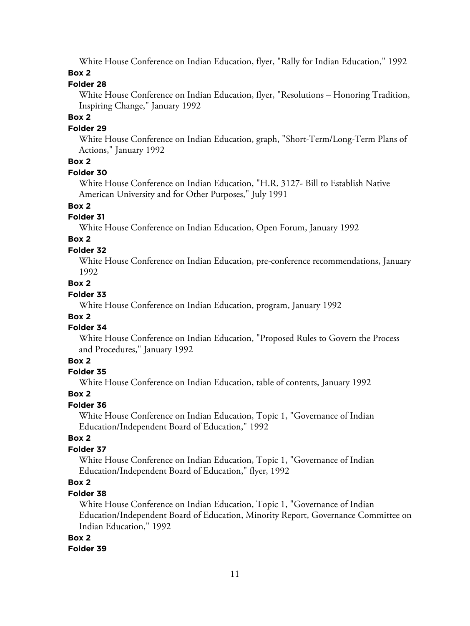White House Conference on Indian Education, flyer, "Rally for Indian Education," 1992

### **Box 2**

# **Folder 28**

White House Conference on Indian Education, flyer, "Resolutions – Honoring Tradition, Inspiring Change," January 1992

### **Box 2**

# **Folder 29**

White House Conference on Indian Education, graph, "Short-Term/Long-Term Plans of Actions," January 1992

# **Box 2**

# **Folder 30**

White House Conference on Indian Education, "H.R. 3127- Bill to Establish Native American University and for Other Purposes," July 1991

**Box 2**

# **Folder 31**

White House Conference on Indian Education, Open Forum, January 1992

# **Box 2**

# **Folder 32**

White House Conference on Indian Education, pre-conference recommendations, January 1992

# **Box 2**

# **Folder 33**

White House Conference on Indian Education, program, January 1992

# **Box 2**

# **Folder 34**

White House Conference on Indian Education, "Proposed Rules to Govern the Process and Procedures," January 1992

# **Box 2**

# **Folder 35**

White House Conference on Indian Education, table of contents, January 1992

# **Box 2**

# **Folder 36**

White House Conference on Indian Education, Topic 1, "Governance of Indian Education/Independent Board of Education," 1992

# **Box 2**

# **Folder 37**

White House Conference on Indian Education, Topic 1, "Governance of Indian Education/Independent Board of Education," flyer, 1992

# **Box 2**

# **Folder 38**

White House Conference on Indian Education, Topic 1, "Governance of Indian Education/Independent Board of Education, Minority Report, Governance Committee on Indian Education," 1992

# **Box 2**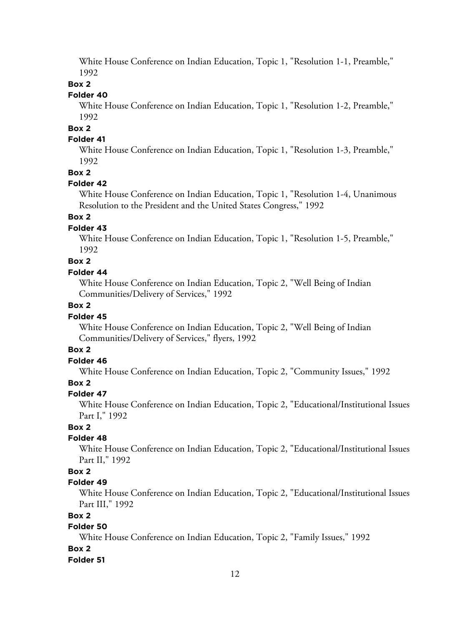White House Conference on Indian Education, Topic 1, "Resolution 1-1, Preamble," 1992

### **Box 2**

# **Folder 40**

White House Conference on Indian Education, Topic 1, "Resolution 1-2, Preamble," 1992

**Box 2**

# **Folder 41**

White House Conference on Indian Education, Topic 1, "Resolution 1-3, Preamble," 1992

#### **Box 2**

#### **Folder 42**

White House Conference on Indian Education, Topic 1, "Resolution 1-4, Unanimous Resolution to the President and the United States Congress," 1992

# **Box 2**

### **Folder 43**

White House Conference on Indian Education, Topic 1, "Resolution 1-5, Preamble," 1992

# **Box 2**

### **Folder 44**

White House Conference on Indian Education, Topic 2, "Well Being of Indian Communities/Delivery of Services," 1992

### **Box 2**

#### **Folder 45**

White House Conference on Indian Education, Topic 2, "Well Being of Indian Communities/Delivery of Services," flyers, 1992

#### **Box 2**

# **Folder 46**

White House Conference on Indian Education, Topic 2, "Community Issues," 1992

### **Box 2**

#### **Folder 47**

White House Conference on Indian Education, Topic 2, "Educational/Institutional Issues Part I," 1992

# **Box 2**

### **Folder 48**

White House Conference on Indian Education, Topic 2, "Educational/Institutional Issues Part II," 1992

### **Box 2**

### **Folder 49**

White House Conference on Indian Education, Topic 2, "Educational/Institutional Issues Part III," 1992

### **Box 2**

# **Folder 50**

White House Conference on Indian Education, Topic 2, "Family Issues," 1992

### **Box 2**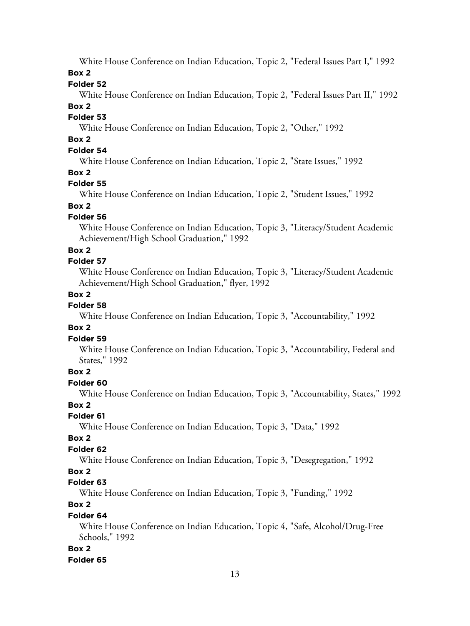White House Conference on Indian Education, Topic 2, "Federal Issues Part I," 1992

**Box 2**

### **Folder 52**

White House Conference on Indian Education, Topic 2, "Federal Issues Part II," 1992

### **Box 2**

### **Folder 53**

White House Conference on Indian Education, Topic 2, "Other," 1992

# **Box 2**

# **Folder 54**

White House Conference on Indian Education, Topic 2, "State Issues," 1992

### **Box 2**

### **Folder 55**

White House Conference on Indian Education, Topic 2, "Student Issues," 1992

# **Box 2**

# **Folder 56**

White House Conference on Indian Education, Topic 3, "Literacy/Student Academic Achievement/High School Graduation," 1992

### **Box 2**

# **Folder 57**

White House Conference on Indian Education, Topic 3, "Literacy/Student Academic Achievement/High School Graduation," flyer, 1992

### **Box 2**

# **Folder 58**

White House Conference on Indian Education, Topic 3, "Accountability," 1992

### **Box 2**

### **Folder 59**

White House Conference on Indian Education, Topic 3, "Accountability, Federal and States," 1992

### **Box 2**

### **Folder 60**

White House Conference on Indian Education, Topic 3, "Accountability, States," 1992

### **Box 2**

### **Folder 61**

White House Conference on Indian Education, Topic 3, "Data," 1992

### **Box 2**

# **Folder 62**

White House Conference on Indian Education, Topic 3, "Desegregation," 1992

### **Box 2**

### **Folder 63**

White House Conference on Indian Education, Topic 3, "Funding," 1992

# **Box 2**

# **Folder 64**

White House Conference on Indian Education, Topic 4, "Safe, Alcohol/Drug-Free Schools," 1992

### **Box 2**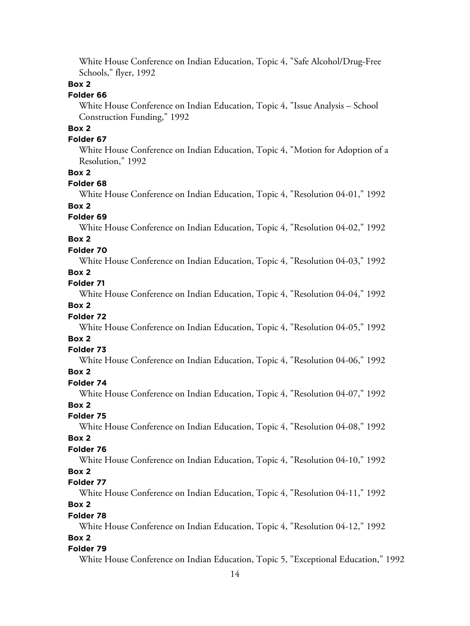White House Conference on Indian Education, Topic 4, "Safe Alcohol/Drug-Free Schools," flyer, 1992

### **Box 2**

# **Folder 66**

White House Conference on Indian Education, Topic 4, "Issue Analysis – School Construction Funding," 1992

# **Box 2**

# **Folder 67**

White House Conference on Indian Education, Topic 4, "Motion for Adoption of a Resolution," 1992

### **Box 2**

### **Folder 68**

White House Conference on Indian Education, Topic 4, "Resolution 04-01," 1992

# **Box 2**

### **Folder 69**

White House Conference on Indian Education, Topic 4, "Resolution 04-02," 1992

# **Box 2**

### **Folder 70**

White House Conference on Indian Education, Topic 4, "Resolution 04-03," 1992

# **Box 2**

# **Folder 71**

White House Conference on Indian Education, Topic 4, "Resolution 04-04," 1992

### **Box 2**

### **Folder 72**

White House Conference on Indian Education, Topic 4, "Resolution 04-05," 1992

# **Box 2**

#### **Folder 73**

White House Conference on Indian Education, Topic 4, "Resolution 04-06," 1992

# **Box 2**

# **Folder 74**

White House Conference on Indian Education, Topic 4, "Resolution 04-07," 1992

### **Box 2**

### **Folder 75**

White House Conference on Indian Education, Topic 4, "Resolution 04-08," 1992

# **Box 2**

# **Folder 76**

White House Conference on Indian Education, Topic 4, "Resolution 04-10," 1992

### **Box 2**

### **Folder 77**

White House Conference on Indian Education, Topic 4, "Resolution 04-11," 1992

# **Box 2**

# **Folder 78**

White House Conference on Indian Education, Topic 4, "Resolution 04-12," 1992

#### **Box 2**

#### **Folder 79**

White House Conference on Indian Education, Topic 5, "Exceptional Education," 1992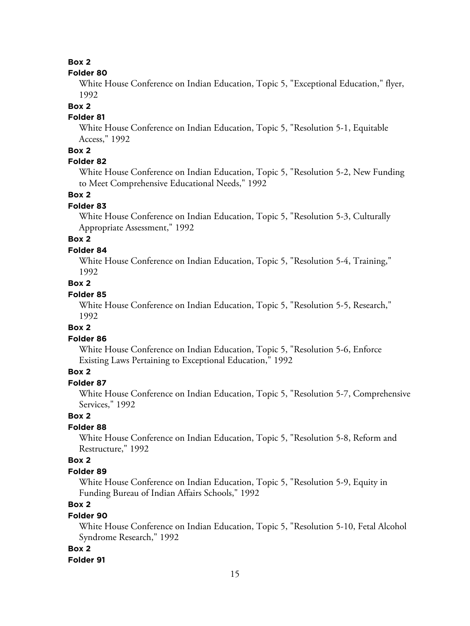### **Box 2**

#### **Folder 80**

White House Conference on Indian Education, Topic 5, "Exceptional Education," flyer, 1992

#### **Box 2**

### **Folder 81**

White House Conference on Indian Education, Topic 5, "Resolution 5-1, Equitable Access," 1992

# **Box 2**

# **Folder 82**

White House Conference on Indian Education, Topic 5, "Resolution 5-2, New Funding to Meet Comprehensive Educational Needs," 1992

#### **Box 2**

#### **Folder 83**

White House Conference on Indian Education, Topic 5, "Resolution 5-3, Culturally Appropriate Assessment," 1992

# **Box 2**

#### **Folder 84**

White House Conference on Indian Education, Topic 5, "Resolution 5-4, Training," 1992

# **Box 2**

# **Folder 85**

White House Conference on Indian Education, Topic 5, "Resolution 5-5, Research," 1992

#### **Box 2**

### **Folder 86**

White House Conference on Indian Education, Topic 5, "Resolution 5-6, Enforce Existing Laws Pertaining to Exceptional Education," 1992

# **Box 2**

# **Folder 87**

White House Conference on Indian Education, Topic 5, "Resolution 5-7, Comprehensive Services," 1992

### **Box 2**

# **Folder 88**

White House Conference on Indian Education, Topic 5, "Resolution 5-8, Reform and Restructure," 1992

# **Box 2**

### **Folder 89**

White House Conference on Indian Education, Topic 5, "Resolution 5-9, Equity in Funding Bureau of Indian Affairs Schools," 1992

# **Box 2**

### **Folder 90**

White House Conference on Indian Education, Topic 5, "Resolution 5-10, Fetal Alcohol Syndrome Research," 1992

#### **Box 2**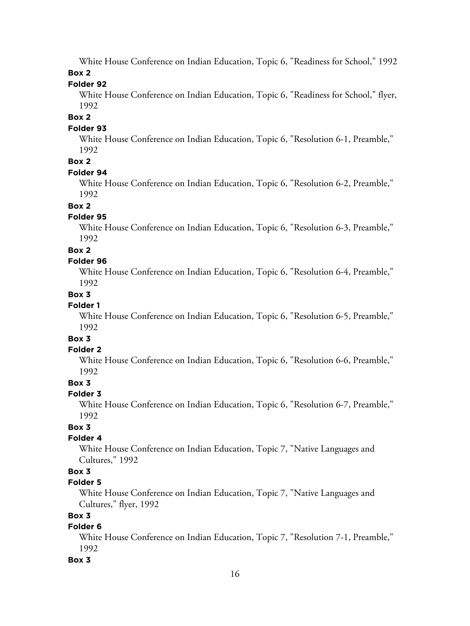White House Conference on Indian Education, Topic 6, "Readiness for School," 1992

# **Box 2**

# **Folder 92**

White House Conference on Indian Education, Topic 6, "Readiness for School," flyer, 1992

# **Box 2**

# **Folder 93**

White House Conference on Indian Education, Topic 6, "Resolution 6-1, Preamble," 1992

# **Box 2**

# **Folder 94**

White House Conference on Indian Education, Topic 6, "Resolution 6-2, Preamble," 1992

# **Box 2**

# **Folder 95**

White House Conference on Indian Education, Topic 6, "Resolution 6-3, Preamble," 1992

# **Box 2**

# **Folder 96**

White House Conference on Indian Education, Topic 6, "Resolution 6-4, Preamble," 1992

# **Box 3**

# **Folder 1**

White House Conference on Indian Education, Topic 6, "Resolution 6-5, Preamble," 1992

# **Box 3**

# **Folder 2**

White House Conference on Indian Education, Topic 6, "Resolution 6-6, Preamble," 1992

# **Box 3**

# **Folder 3**

White House Conference on Indian Education, Topic 6, "Resolution 6-7, Preamble," 1992

# **Box 3**

# **Folder 4**

White House Conference on Indian Education, Topic 7, "Native Languages and Cultures," 1992

# **Box 3**

# **Folder 5**

White House Conference on Indian Education, Topic 7, "Native Languages and Cultures," flyer, 1992

# **Box 3**

# **Folder 6**

White House Conference on Indian Education, Topic 7, "Resolution 7-1, Preamble," 1992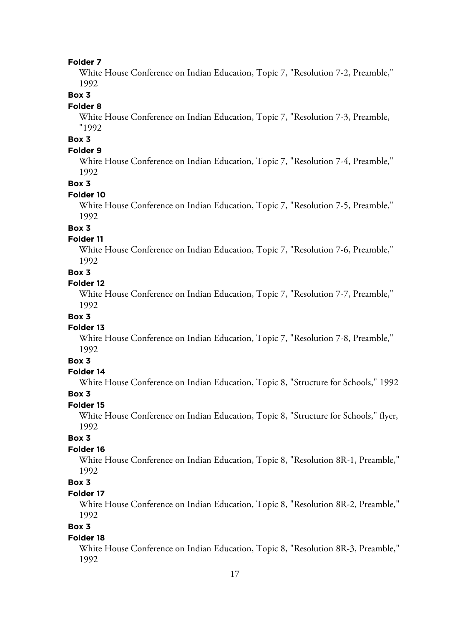White House Conference on Indian Education, Topic 7, "Resolution 7-2, Preamble," 1992

### **Box 3**

#### **Folder 8**

White House Conference on Indian Education, Topic 7, "Resolution 7-3, Preamble, "1992

# **Box 3**

### **Folder 9**

White House Conference on Indian Education, Topic 7, "Resolution 7-4, Preamble," 1992

#### **Box 3**

#### **Folder 10**

White House Conference on Indian Education, Topic 7, "Resolution 7-5, Preamble," 1992

# **Box 3**

#### **Folder 11**

White House Conference on Indian Education, Topic 7, "Resolution 7-6, Preamble," 1992

### **Box 3**

# **Folder 12**

White House Conference on Indian Education, Topic 7, "Resolution 7-7, Preamble," 1992

### **Box 3**

#### **Folder 13**

White House Conference on Indian Education, Topic 7, "Resolution 7-8, Preamble," 1992

# **Box 3**

#### **Folder 14**

White House Conference on Indian Education, Topic 8, "Structure for Schools," 1992

#### **Box 3**

### **Folder 15**

White House Conference on Indian Education, Topic 8, "Structure for Schools," flyer, 1992

# **Box 3**

### **Folder 16**

White House Conference on Indian Education, Topic 8, "Resolution 8R-1, Preamble," 1992

# **Box 3**

### **Folder 17**

White House Conference on Indian Education, Topic 8, "Resolution 8R-2, Preamble," 1992

# **Box 3**

#### **Folder 18**

White House Conference on Indian Education, Topic 8, "Resolution 8R-3, Preamble," 1992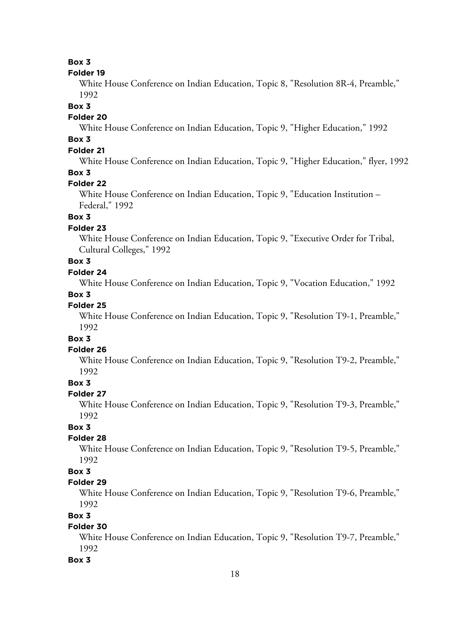### **Box 3**

#### **Folder 19**

White House Conference on Indian Education, Topic 8, "Resolution 8R-4, Preamble," 1992

#### **Box 3**

### **Folder 20**

White House Conference on Indian Education, Topic 9, "Higher Education," 1992

# **Box 3**

# **Folder 21**

White House Conference on Indian Education, Topic 9, "Higher Education," flyer, 1992

# **Box 3**

### **Folder 22**

White House Conference on Indian Education, Topic 9, "Education Institution – Federal," 1992

### **Box 3**

### **Folder 23**

White House Conference on Indian Education, Topic 9, "Executive Order for Tribal, Cultural Colleges," 1992

# **Box 3**

# **Folder 24**

White House Conference on Indian Education, Topic 9, "Vocation Education," 1992

# **Box 3**

### **Folder 25**

White House Conference on Indian Education, Topic 9, "Resolution T9-1, Preamble," 1992

# **Box 3**

### **Folder 26**

White House Conference on Indian Education, Topic 9, "Resolution T9-2, Preamble," 1992

### **Box 3**

# **Folder 27**

White House Conference on Indian Education, Topic 9, "Resolution T9-3, Preamble," 1992

# **Box 3**

# **Folder 28**

White House Conference on Indian Education, Topic 9, "Resolution T9-5, Preamble," 1992

### **Box 3**

# **Folder 29**

White House Conference on Indian Education, Topic 9, "Resolution T9-6, Preamble," 1992

### **Box 3**

# **Folder 30**

White House Conference on Indian Education, Topic 9, "Resolution T9-7, Preamble," 1992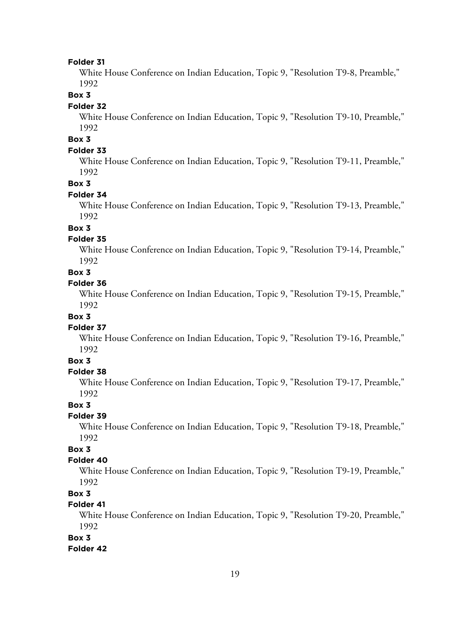White House Conference on Indian Education, Topic 9, "Resolution T9-8, Preamble," 1992

### **Box 3**

#### **Folder 32**

White House Conference on Indian Education, Topic 9, "Resolution T9-10, Preamble," 1992

# **Box 3**

#### **Folder 33**

White House Conference on Indian Education, Topic 9, "Resolution T9-11, Preamble," 1992

### **Box 3**

#### **Folder 34**

White House Conference on Indian Education, Topic 9, "Resolution T9-13, Preamble," 1992

# **Box 3**

#### **Folder 35**

White House Conference on Indian Education, Topic 9, "Resolution T9-14, Preamble," 1992

### **Box 3**

# **Folder 36**

White House Conference on Indian Education, Topic 9, "Resolution T9-15, Preamble," 1992

#### **Box 3**

#### **Folder 37**

White House Conference on Indian Education, Topic 9, "Resolution T9-16, Preamble," 1992

# **Box 3**

#### **Folder 38**

White House Conference on Indian Education, Topic 9, "Resolution T9-17, Preamble," 1992

### **Box 3**

#### **Folder 39**

White House Conference on Indian Education, Topic 9, "Resolution T9-18, Preamble," 1992

# **Box 3**

#### **Folder 40**

White House Conference on Indian Education, Topic 9, "Resolution T9-19, Preamble," 1992

### **Box 3**

### **Folder 41**

White House Conference on Indian Education, Topic 9, "Resolution T9-20, Preamble," 1992

#### **Box 3**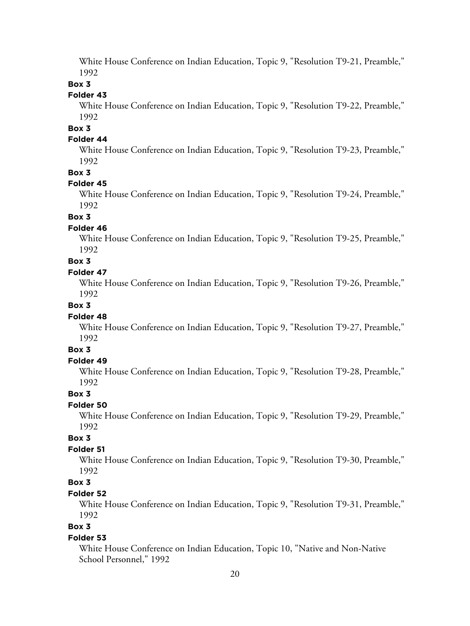White House Conference on Indian Education, Topic 9, "Resolution T9-21, Preamble," 1992

### **Box 3**

### **Folder 43**

White House Conference on Indian Education, Topic 9, "Resolution T9-22, Preamble," 1992

**Box 3**

### **Folder 44**

White House Conference on Indian Education, Topic 9, "Resolution T9-23, Preamble," 1992

#### **Box 3**

#### **Folder 45**

White House Conference on Indian Education, Topic 9, "Resolution T9-24, Preamble," 1992

### **Box 3**

#### **Folder 46**

White House Conference on Indian Education, Topic 9, "Resolution T9-25, Preamble," 1992

# **Box 3**

### **Folder 47**

White House Conference on Indian Education, Topic 9, "Resolution T9-26, Preamble," 1992

### **Box 3**

#### **Folder 48**

White House Conference on Indian Education, Topic 9, "Resolution T9-27, Preamble," 1992

# **Box 3**

#### **Folder 49**

White House Conference on Indian Education, Topic 9, "Resolution T9-28, Preamble," 1992

### **Box 3**

### **Folder 50**

White House Conference on Indian Education, Topic 9, "Resolution T9-29, Preamble," 1992

# **Box 3**

### **Folder 51**

White House Conference on Indian Education, Topic 9, "Resolution T9-30, Preamble," 1992

# **Box 3**

# **Folder 52**

White House Conference on Indian Education, Topic 9, "Resolution T9-31, Preamble," 1992

# **Box 3**

#### **Folder 53**

White House Conference on Indian Education, Topic 10, "Native and Non-Native School Personnel," 1992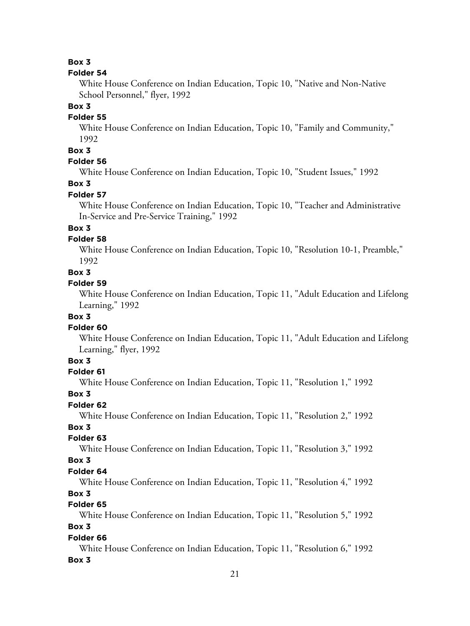### **Box 3**

#### **Folder 54**

White House Conference on Indian Education, Topic 10, "Native and Non-Native School Personnel," flyer, 1992

### **Box 3**

# **Folder 55**

White House Conference on Indian Education, Topic 10, "Family and Community," 1992

# **Box 3**

### **Folder 56**

White House Conference on Indian Education, Topic 10, "Student Issues," 1992

### **Box 3**

### **Folder 57**

White House Conference on Indian Education, Topic 10, "Teacher and Administrative In-Service and Pre-Service Training," 1992

# **Box 3**

# **Folder 58**

White House Conference on Indian Education, Topic 10, "Resolution 10-1, Preamble," 1992

### **Box 3**

#### **Folder 59**

White House Conference on Indian Education, Topic 11, "Adult Education and Lifelong Learning," 1992

### **Box 3**

#### **Folder 60**

White House Conference on Indian Education, Topic 11, "Adult Education and Lifelong Learning," flyer, 1992

# **Box 3**

#### **Folder 61**

White House Conference on Indian Education, Topic 11, "Resolution 1," 1992

#### **Box 3**

### **Folder 62**

White House Conference on Indian Education, Topic 11, "Resolution 2," 1992

# **Box 3**

# **Folder 63**

White House Conference on Indian Education, Topic 11, "Resolution 3," 1992

#### **Box 3**

### **Folder 64**

White House Conference on Indian Education, Topic 11, "Resolution 4," 1992

### **Box 3**

### **Folder 65**

White House Conference on Indian Education, Topic 11, "Resolution 5," 1992

# **Box 3**

### **Folder 66**

White House Conference on Indian Education, Topic 11, "Resolution 6," 1992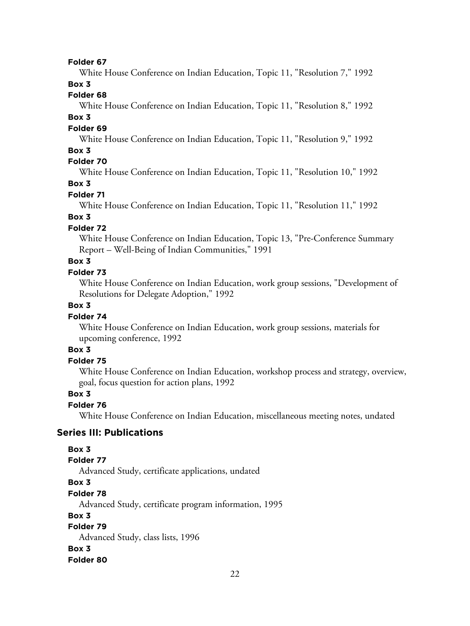White House Conference on Indian Education, Topic 11, "Resolution 7," 1992

### **Box 3**

### **Folder 68**

White House Conference on Indian Education, Topic 11, "Resolution 8," 1992

### **Box 3**

#### **Folder 69**

White House Conference on Indian Education, Topic 11, "Resolution 9," 1992

### **Box 3**

# **Folder 70**

White House Conference on Indian Education, Topic 11, "Resolution 10," 1992

### **Box 3**

### **Folder 71**

White House Conference on Indian Education, Topic 11, "Resolution 11," 1992

# **Box 3**

### **Folder 72**

White House Conference on Indian Education, Topic 13, "Pre-Conference Summary Report – Well-Being of Indian Communities," 1991

### **Box 3**

### **Folder 73**

White House Conference on Indian Education, work group sessions, "Development of Resolutions for Delegate Adoption," 1992

# **Box 3**

### **Folder 74**

White House Conference on Indian Education, work group sessions, materials for upcoming conference, 1992

# **Box 3**

# **Folder 75**

White House Conference on Indian Education, workshop process and strategy, overview, goal, focus question for action plans, 1992

### **Box 3**

### **Folder 76**

White House Conference on Indian Education, miscellaneous meeting notes, undated

### **Series III: Publications**

### **Box 3**

### **Folder 77**

Advanced Study, certificate applications, undated

### **Box 3**

# **Folder 78**

Advanced Study, certificate program information, 1995

### **Box 3**

# **Folder 79**

Advanced Study, class lists, 1996

# **Box 3**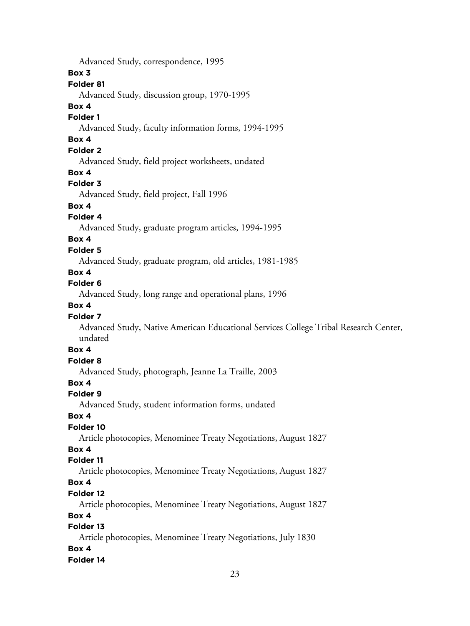Advanced Study, correspondence, 1995

### **Box 3**

# **Folder 81**

Advanced Study, discussion group, 1970-1995

# **Box 4**

# **Folder 1**

Advanced Study, faculty information forms, 1994-1995

# **Box 4**

# **Folder 2**

Advanced Study, field project worksheets, undated

# **Box 4**

# **Folder 3**

Advanced Study, field project, Fall 1996

# **Box 4**

# **Folder 4**

Advanced Study, graduate program articles, 1994-1995

# **Box 4**

# **Folder 5**

Advanced Study, graduate program, old articles, 1981-1985

# **Box 4**

# **Folder 6**

Advanced Study, long range and operational plans, 1996

# **Box 4**

# **Folder 7**

Advanced Study, Native American Educational Services College Tribal Research Center, undated

# **Box 4**

# **Folder 8**

Advanced Study, photograph, Jeanne La Traille, 2003

# **Box 4**

# **Folder 9**

Advanced Study, student information forms, undated

# **Box 4**

# **Folder 10**

Article photocopies, Menominee Treaty Negotiations, August 1827

# **Box 4**

# **Folder 11**

Article photocopies, Menominee Treaty Negotiations, August 1827

# **Box 4**

# **Folder 12**

Article photocopies, Menominee Treaty Negotiations, August 1827

# **Box 4**

# **Folder 13**

Article photocopies, Menominee Treaty Negotiations, July 1830 **Box 4**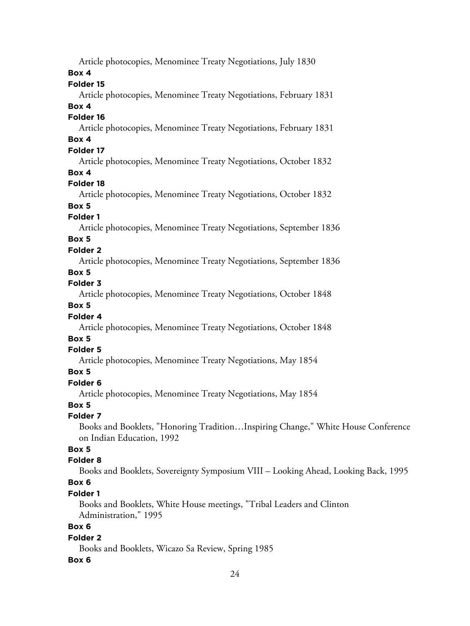| Article photocopies, Menominee Treaty Negotiations, July 1830                      |
|------------------------------------------------------------------------------------|
| Box 4                                                                              |
| Folder 15                                                                          |
| Article photocopies, Menominee Treaty Negotiations, February 1831                  |
| Box 4                                                                              |
| Folder 16                                                                          |
| Article photocopies, Menominee Treaty Negotiations, February 1831                  |
| Box 4                                                                              |
| Folder 17                                                                          |
| Article photocopies, Menominee Treaty Negotiations, October 1832                   |
| Box 4                                                                              |
| Folder 18                                                                          |
| Article photocopies, Menominee Treaty Negotiations, October 1832                   |
| Box 5                                                                              |
| Folder <sub>1</sub>                                                                |
| Article photocopies, Menominee Treaty Negotiations, September 1836                 |
| Box 5                                                                              |
| Folder <sub>2</sub>                                                                |
| Article photocopies, Menominee Treaty Negotiations, September 1836                 |
| Box 5                                                                              |
| Folder 3                                                                           |
| Article photocopies, Menominee Treaty Negotiations, October 1848                   |
| Box 5                                                                              |
| Folder 4                                                                           |
| Article photocopies, Menominee Treaty Negotiations, October 1848                   |
| Box 5                                                                              |
| Folder 5                                                                           |
| Article photocopies, Menominee Treaty Negotiations, May 1854                       |
| Box 5                                                                              |
| Folder 6                                                                           |
| Article photocopies, Menominee Treaty Negotiations, May 1854                       |
| Box 5                                                                              |
| Folder 7                                                                           |
| Books and Booklets, "Honoring TraditionInspiring Change," White House Conference   |
| on Indian Education, 1992                                                          |
| Box 5                                                                              |
| Folder 8                                                                           |
| Books and Booklets, Sovereignty Symposium VIII - Looking Ahead, Looking Back, 1995 |
| Box 6<br>Folder 1                                                                  |
| Books and Booklets, White House meetings, "Tribal Leaders and Clinton              |
| Administration," 1995                                                              |
|                                                                                    |

# **Box 6**

# **Folder 2**

Books and Booklets, Wicazo Sa Review, Spring 1985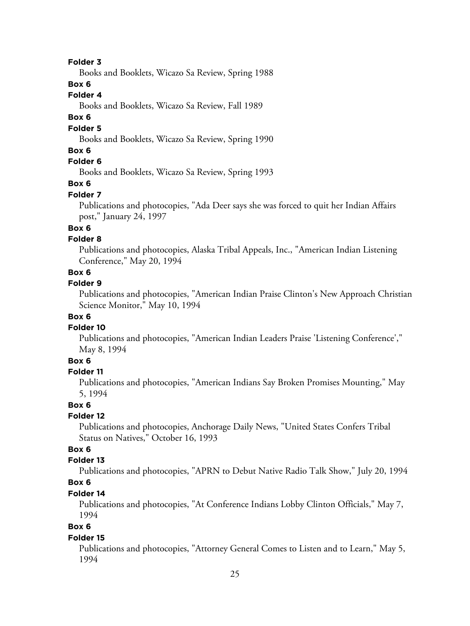Books and Booklets, Wicazo Sa Review, Spring 1988

## **Box 6**

# **Folder 4**

Books and Booklets, Wicazo Sa Review, Fall 1989

### **Box 6**

### **Folder 5**

Books and Booklets, Wicazo Sa Review, Spring 1990

# **Box 6**

# **Folder 6**

Books and Booklets, Wicazo Sa Review, Spring 1993

#### **Box 6**

#### **Folder 7**

Publications and photocopies, "Ada Deer says she was forced to quit her Indian Affairs post," January 24, 1997

# **Box 6**

#### **Folder 8**

Publications and photocopies, Alaska Tribal Appeals, Inc., "American Indian Listening Conference," May 20, 1994

### **Box 6**

### **Folder 9**

Publications and photocopies, "American Indian Praise Clinton's New Approach Christian Science Monitor," May 10, 1994

### **Box 6**

### **Folder 10**

Publications and photocopies, "American Indian Leaders Praise 'Listening Conference'," May 8, 1994

# **Box 6**

#### **Folder 11**

Publications and photocopies, "American Indians Say Broken Promises Mounting," May 5, 1994

#### **Box 6**

### **Folder 12**

Publications and photocopies, Anchorage Daily News, "United States Confers Tribal Status on Natives," October 16, 1993

# **Box 6**

# **Folder 13**

Publications and photocopies, "APRN to Debut Native Radio Talk Show," July 20, 1994

# **Box 6**

# **Folder 14**

Publications and photocopies, "At Conference Indians Lobby Clinton Officials," May 7, 1994

# **Box 6**

#### **Folder 15**

Publications and photocopies, "Attorney General Comes to Listen and to Learn," May 5, 1994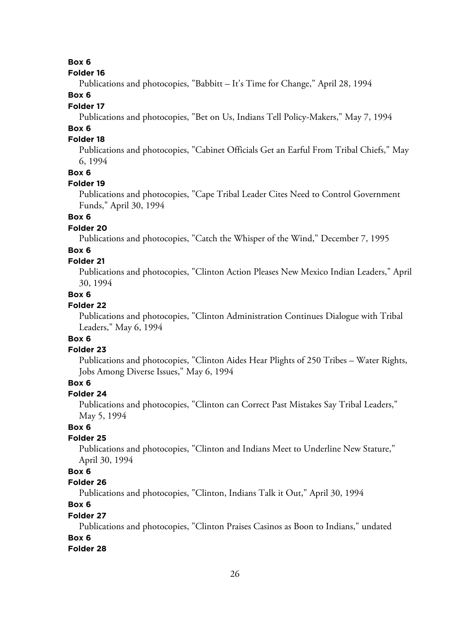### **Box 6**

#### **Folder 16**

Publications and photocopies, "Babbitt – It's Time for Change," April 28, 1994

# **Box 6**

### **Folder 17**

Publications and photocopies, "Bet on Us, Indians Tell Policy-Makers," May 7, 1994

# **Box 6**

# **Folder 18**

Publications and photocopies, "Cabinet Officials Get an Earful From Tribal Chiefs," May 6, 1994

#### **Box 6**

### **Folder 19**

Publications and photocopies, "Cape Tribal Leader Cites Need to Control Government Funds," April 30, 1994

# **Box 6**

# **Folder 20**

Publications and photocopies, "Catch the Whisper of the Wind," December 7, 1995

### **Box 6**

### **Folder 21**

Publications and photocopies, "Clinton Action Pleases New Mexico Indian Leaders," April 30, 1994

### **Box 6**

### **Folder 22**

Publications and photocopies, "Clinton Administration Continues Dialogue with Tribal Leaders," May 6, 1994

# **Box 6**

### **Folder 23**

Publications and photocopies, "Clinton Aides Hear Plights of 250 Tribes – Water Rights, Jobs Among Diverse Issues," May 6, 1994

# **Box 6**

### **Folder 24**

Publications and photocopies, "Clinton can Correct Past Mistakes Say Tribal Leaders," May 5, 1994

# **Box 6**

### **Folder 25**

Publications and photocopies, "Clinton and Indians Meet to Underline New Stature," April 30, 1994

# **Box 6**

# **Folder 26**

Publications and photocopies, "Clinton, Indians Talk it Out," April 30, 1994

# **Box 6**

### **Folder 27**

Publications and photocopies, "Clinton Praises Casinos as Boon to Indians," undated

# **Box 6**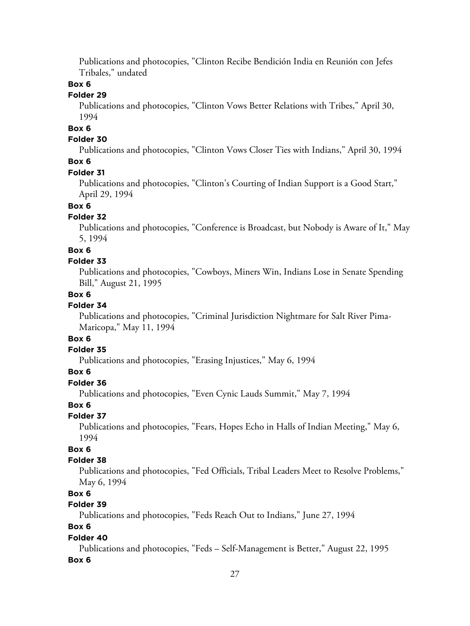Publications and photocopies, "Clinton Recibe Bendición India en Reunión con Jefes Tribales," undated

### **Box 6**

### **Folder 29**

Publications and photocopies, "Clinton Vows Better Relations with Tribes," April 30, 1994

# **Box 6**

### **Folder 30**

Publications and photocopies, "Clinton Vows Closer Ties with Indians," April 30, 1994

### **Box 6**

### **Folder 31**

Publications and photocopies, "Clinton's Courting of Indian Support is a Good Start," April 29, 1994

# **Box 6**

### **Folder 32**

Publications and photocopies, "Conference is Broadcast, but Nobody is Aware of It," May 5, 1994

### **Box 6**

### **Folder 33**

Publications and photocopies, "Cowboys, Miners Win, Indians Lose in Senate Spending Bill," August 21, 1995

### **Box 6**

# **Folder 34**

Publications and photocopies, "Criminal Jurisdiction Nightmare for Salt River Pima-Maricopa," May 11, 1994

# **Box 6**

### **Folder 35**

Publications and photocopies, "Erasing Injustices," May 6, 1994

# **Box 6**

# **Folder 36**

Publications and photocopies, "Even Cynic Lauds Summit," May 7, 1994

### **Box 6**

# **Folder 37**

Publications and photocopies, "Fears, Hopes Echo in Halls of Indian Meeting," May 6, 1994

# **Box 6**

# **Folder 38**

Publications and photocopies, "Fed Officials, Tribal Leaders Meet to Resolve Problems," May 6, 1994

# **Box 6**

# **Folder 39**

Publications and photocopies, "Feds Reach Out to Indians," June 27, 1994

# **Box 6**

### **Folder 40**

Publications and photocopies, "Feds – Self-Management is Better," August 22, 1995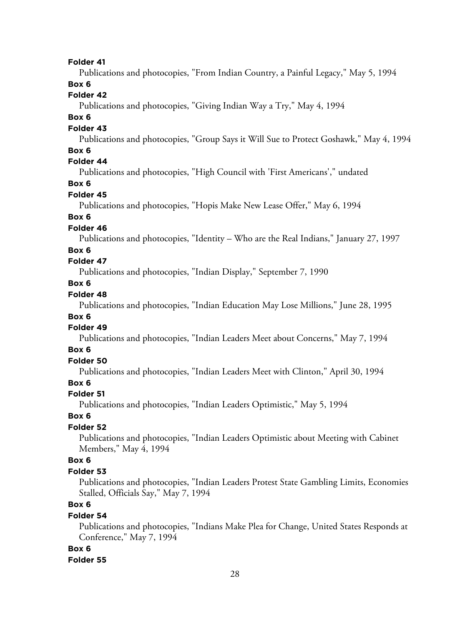Publications and photocopies, "From Indian Country, a Painful Legacy," May 5, 1994

# **Box 6**

# **Folder 42**

Publications and photocopies, "Giving Indian Way a Try," May 4, 1994

### **Box 6**

### **Folder 43**

Publications and photocopies, "Group Says it Will Sue to Protect Goshawk," May 4, 1994

# **Box 6**

# **Folder 44**

Publications and photocopies, "High Council with 'First Americans'," undated

### **Box 6**

# **Folder 45**

Publications and photocopies, "Hopis Make New Lease Offer," May 6, 1994

### **Box 6**

#### **Folder 46**

Publications and photocopies, "Identity – Who are the Real Indians," January 27, 1997

### **Box 6**

# **Folder 47**

Publications and photocopies, "Indian Display," September 7, 1990

# **Box 6**

# **Folder 48**

Publications and photocopies, "Indian Education May Lose Millions," June 28, 1995

### **Box 6**

### **Folder 49**

Publications and photocopies, "Indian Leaders Meet about Concerns," May 7, 1994

### **Box 6**

# **Folder 50**

Publications and photocopies, "Indian Leaders Meet with Clinton," April 30, 1994

### **Box 6**

#### **Folder 51**

Publications and photocopies, "Indian Leaders Optimistic," May 5, 1994

### **Box 6**

### **Folder 52**

Publications and photocopies, "Indian Leaders Optimistic about Meeting with Cabinet Members," May 4, 1994

### **Box 6**

#### **Folder 53**

Publications and photocopies, "Indian Leaders Protest State Gambling Limits, Economies Stalled, Officials Say," May 7, 1994

# **Box 6**

### **Folder 54**

Publications and photocopies, "Indians Make Plea for Change, United States Responds at Conference," May 7, 1994

#### **Box 6**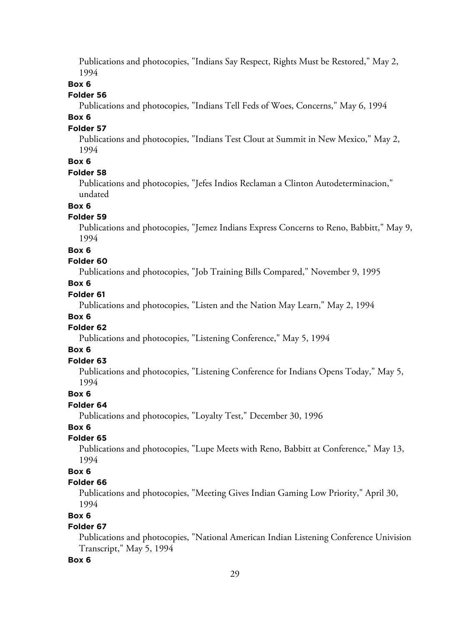Publications and photocopies, "Indians Say Respect, Rights Must be Restored," May 2, 1994

### **Box 6**

### **Folder 56**

Publications and photocopies, "Indians Tell Feds of Woes, Concerns," May 6, 1994

### **Box 6**

### **Folder 57**

Publications and photocopies, "Indians Test Clout at Summit in New Mexico," May 2, 1994

# **Box 6**

### **Folder 58**

Publications and photocopies, "Jefes Indios Reclaman a Clinton Autodeterminacion," undated

### **Box 6**

# **Folder 59**

Publications and photocopies, "Jemez Indians Express Concerns to Reno, Babbitt," May 9, 1994

#### **Box 6**

### **Folder 60**

Publications and photocopies, "Job Training Bills Compared," November 9, 1995

### **Box 6**

# **Folder 61**

Publications and photocopies, "Listen and the Nation May Learn," May 2, 1994

### **Box 6**

# **Folder 62**

Publications and photocopies, "Listening Conference," May 5, 1994

# **Box 6**

# **Folder 63**

Publications and photocopies, "Listening Conference for Indians Opens Today," May 5, 1994

### **Box 6**

### **Folder 64**

Publications and photocopies, "Loyalty Test," December 30, 1996

# **Box 6**

# **Folder 65**

Publications and photocopies, "Lupe Meets with Reno, Babbitt at Conference," May 13, 1994

### **Box 6**

### **Folder 66**

Publications and photocopies, "Meeting Gives Indian Gaming Low Priority," April 30, 1994

### **Box 6**

# **Folder 67**

Publications and photocopies, "National American Indian Listening Conference Univision Transcript," May 5, 1994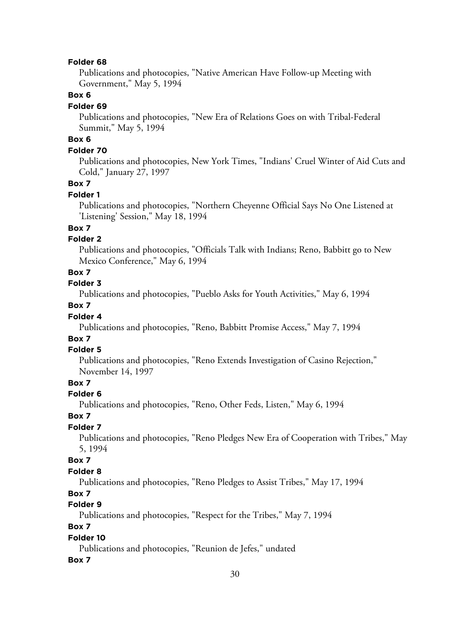Publications and photocopies, "Native American Have Follow-up Meeting with Government," May 5, 1994

### **Box 6**

#### **Folder 69**

Publications and photocopies, "New Era of Relations Goes on with Tribal-Federal Summit," May 5, 1994

# **Box 6**

### **Folder 70**

Publications and photocopies, New York Times, "Indians' Cruel Winter of Aid Cuts and Cold," January 27, 1997

### **Box 7**

### **Folder 1**

Publications and photocopies, "Northern Cheyenne Official Says No One Listened at 'Listening' Session," May 18, 1994

# **Box 7**

# **Folder 2**

Publications and photocopies, "Officials Talk with Indians; Reno, Babbitt go to New Mexico Conference," May 6, 1994

### **Box 7**

### **Folder 3**

Publications and photocopies, "Pueblo Asks for Youth Activities," May 6, 1994

### **Box 7**

### **Folder 4**

Publications and photocopies, "Reno, Babbitt Promise Access," May 7, 1994

### **Box 7**

#### **Folder 5**

Publications and photocopies, "Reno Extends Investigation of Casino Rejection," November 14, 1997

# **Box 7**

### **Folder 6**

Publications and photocopies, "Reno, Other Feds, Listen," May 6, 1994

### **Box 7**

# **Folder 7**

Publications and photocopies, "Reno Pledges New Era of Cooperation with Tribes," May 5, 1994

### **Box 7**

### **Folder 8**

Publications and photocopies, "Reno Pledges to Assist Tribes," May 17, 1994

# **Box 7**

# **Folder 9**

Publications and photocopies, "Respect for the Tribes," May 7, 1994

# **Box 7**

### **Folder 10**

Publications and photocopies, "Reunion de Jefes," undated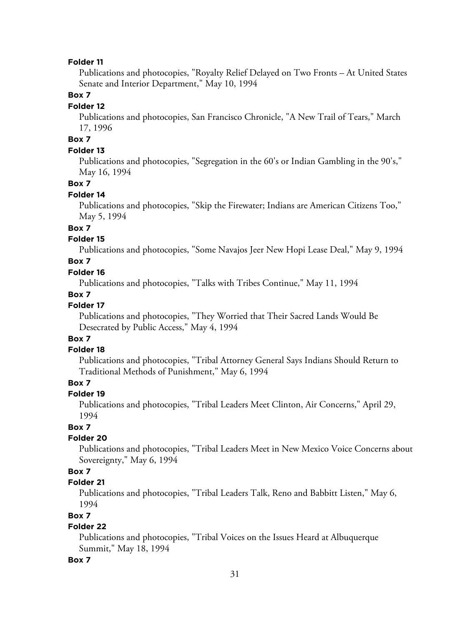Publications and photocopies, "Royalty Relief Delayed on Two Fronts – At United States Senate and Interior Department," May 10, 1994

### **Box 7**

#### **Folder 12**

Publications and photocopies, San Francisco Chronicle, "A New Trail of Tears," March 17, 1996

# **Box 7**

### **Folder 13**

Publications and photocopies, "Segregation in the 60's or Indian Gambling in the 90's," May 16, 1994

#### **Box 7**

#### **Folder 14**

Publications and photocopies, "Skip the Firewater; Indians are American Citizens Too," May 5, 1994

# **Box 7**

# **Folder 15**

Publications and photocopies, "Some Navajos Jeer New Hopi Lease Deal," May 9, 1994

### **Box 7**

### **Folder 16**

Publications and photocopies, "Talks with Tribes Continue," May 11, 1994

### **Box 7**

# **Folder 17**

Publications and photocopies, "They Worried that Their Sacred Lands Would Be Desecrated by Public Access," May 4, 1994

# **Box 7**

#### **Folder 18**

Publications and photocopies, "Tribal Attorney General Says Indians Should Return to Traditional Methods of Punishment," May 6, 1994

# **Box 7**

### **Folder 19**

Publications and photocopies, "Tribal Leaders Meet Clinton, Air Concerns," April 29, 1994

# **Box 7**

### **Folder 20**

Publications and photocopies, "Tribal Leaders Meet in New Mexico Voice Concerns about Sovereignty," May 6, 1994

# **Box 7**

# **Folder 21**

Publications and photocopies, "Tribal Leaders Talk, Reno and Babbitt Listen," May 6, 1994

### **Box 7**

# **Folder 22**

Publications and photocopies, "Tribal Voices on the Issues Heard at Albuquerque Summit," May 18, 1994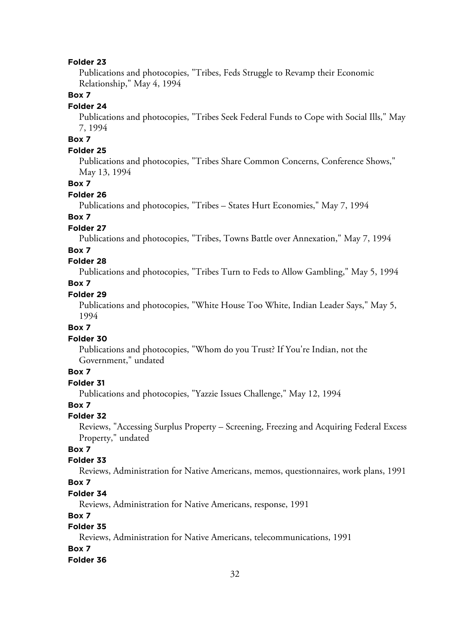Publications and photocopies, "Tribes, Feds Struggle to Revamp their Economic Relationship," May 4, 1994

### **Box 7**

#### **Folder 24**

Publications and photocopies, "Tribes Seek Federal Funds to Cope with Social Ills," May 7, 1994

# **Box 7**

### **Folder 25**

Publications and photocopies, "Tribes Share Common Concerns, Conference Shows," May 13, 1994

### **Box 7**

#### **Folder 26**

Publications and photocopies, "Tribes – States Hurt Economies," May 7, 1994

# **Box 7**

### **Folder 27**

Publications and photocopies, "Tribes, Towns Battle over Annexation," May 7, 1994

# **Box 7**

# **Folder 28**

Publications and photocopies, "Tribes Turn to Feds to Allow Gambling," May 5, 1994

# **Box 7**

### **Folder 29**

Publications and photocopies, "White House Too White, Indian Leader Says," May 5, 1994

# **Box 7**

### **Folder 30**

Publications and photocopies, "Whom do you Trust? If You're Indian, not the Government," undated

### **Box 7**

### **Folder 31**

Publications and photocopies, "Yazzie Issues Challenge," May 12, 1994

### **Box 7**

### **Folder 32**

Reviews, "Accessing Surplus Property – Screening, Freezing and Acquiring Federal Excess Property," undated

# **Box 7**

### **Folder 33**

Reviews, Administration for Native Americans, memos, questionnaires, work plans, 1991

### **Box 7**

### **Folder 34**

Reviews, Administration for Native Americans, response, 1991

# **Box 7**

# **Folder 35**

Reviews, Administration for Native Americans, telecommunications, 1991

### **Box 7**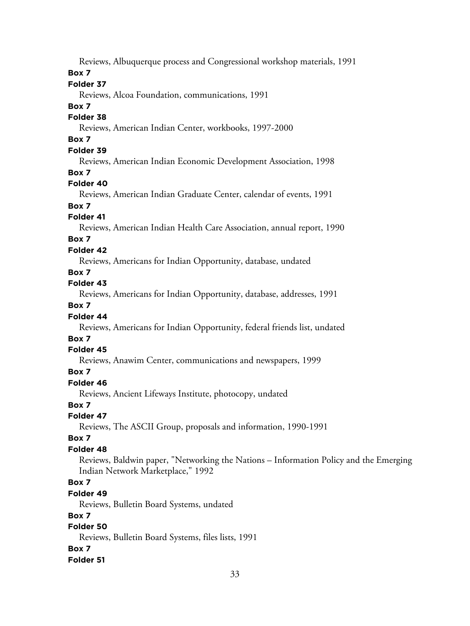Reviews, Albuquerque process and Congressional workshop materials, 1991

### **Box 7**

# **Folder 37**

Reviews, Alcoa Foundation, communications, 1991

### **Box 7**

### **Folder 38**

Reviews, American Indian Center, workbooks, 1997-2000

# **Box 7**

# **Folder 39**

Reviews, American Indian Economic Development Association, 1998

### **Box 7**

# **Folder 40**

Reviews, American Indian Graduate Center, calendar of events, 1991

# **Box 7**

# **Folder 41**

Reviews, American Indian Health Care Association, annual report, 1990

# **Box 7**

# **Folder 42**

Reviews, Americans for Indian Opportunity, database, undated

### **Box 7**

# **Folder 43**

Reviews, Americans for Indian Opportunity, database, addresses, 1991

# **Box 7**

# **Folder 44**

Reviews, Americans for Indian Opportunity, federal friends list, undated

# **Box 7**

# **Folder 45**

Reviews, Anawim Center, communications and newspapers, 1999

# **Box 7**

# **Folder 46**

Reviews, Ancient Lifeways Institute, photocopy, undated

# **Box 7**

# **Folder 47**

Reviews, The ASCII Group, proposals and information, 1990-1991

# **Box 7**

# **Folder 48**

Reviews, Baldwin paper, "Networking the Nations – Information Policy and the Emerging Indian Network Marketplace," 1992

# **Box 7**

# **Folder 49**

Reviews, Bulletin Board Systems, undated

# **Box 7**

# **Folder 50**

Reviews, Bulletin Board Systems, files lists, 1991

# **Box 7**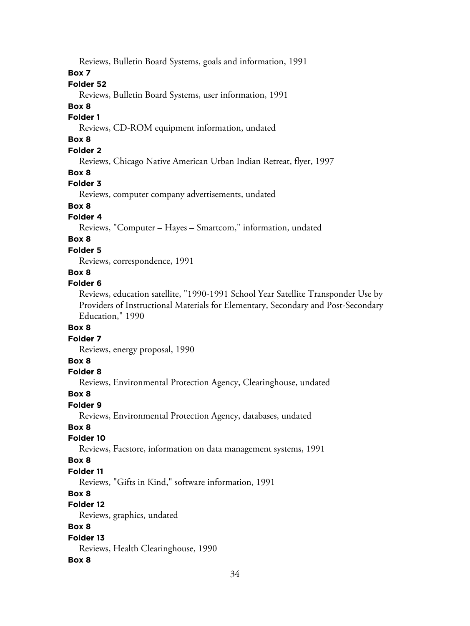Reviews, Bulletin Board Systems, goals and information, 1991

# **Box 7**

## **Folder 52**

Reviews, Bulletin Board Systems, user information, 1991

### **Box 8**

# **Folder 1**

Reviews, CD-ROM equipment information, undated

# **Box 8**

# **Folder 2**

Reviews, Chicago Native American Urban Indian Retreat, flyer, 1997

### **Box 8**

### **Folder 3**

Reviews, computer company advertisements, undated

# **Box 8**

# **Folder 4**

Reviews, "Computer – Hayes – Smartcom," information, undated

# **Box 8**

### **Folder 5**

Reviews, correspondence, 1991

# **Box 8**

#### **Folder 6**

Reviews, education satellite, "1990-1991 School Year Satellite Transponder Use by Providers of Instructional Materials for Elementary, Secondary and Post-Secondary Education," 1990

### **Box 8**

#### **Folder 7**

Reviews, energy proposal, 1990

### **Box 8**

#### **Folder 8**

Reviews, Environmental Protection Agency, Clearinghouse, undated

#### **Box 8**

### **Folder 9**

Reviews, Environmental Protection Agency, databases, undated

# **Box 8**

# **Folder 10**

Reviews, Facstore, information on data management systems, 1991

### **Box 8**

### **Folder 11**

Reviews, "Gifts in Kind," software information, 1991

### **Box 8**

# **Folder 12**

Reviews, graphics, undated

# **Box 8**

### **Folder 13**

Reviews, Health Clearinghouse, 1990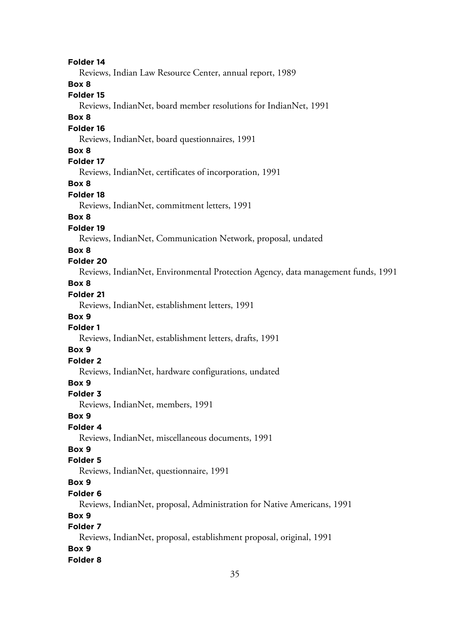Reviews, Indian Law Resource Center, annual report, 1989

**Box 8**

### **Folder 15**

Reviews, IndianNet, board member resolutions for IndianNet, 1991

#### **Box 8**

#### **Folder 16**

Reviews, IndianNet, board questionnaires, 1991

# **Box 8**

# **Folder 17**

Reviews, IndianNet, certificates of incorporation, 1991

#### **Box 8**

### **Folder 18**

Reviews, IndianNet, commitment letters, 1991

### **Box 8**

### **Folder 19**

Reviews, IndianNet, Communication Network, proposal, undated

### **Box 8**

# **Folder 20**

Reviews, IndianNet, Environmental Protection Agency, data management funds, 1991

# **Box 8**

# **Folder 21**

Reviews, IndianNet, establishment letters, 1991

# **Box 9**

# **Folder 1**

Reviews, IndianNet, establishment letters, drafts, 1991

# **Box 9**

# **Folder 2**

Reviews, IndianNet, hardware configurations, undated

# **Box 9**

### **Folder 3**

Reviews, IndianNet, members, 1991

### **Box 9**

# **Folder 4**

Reviews, IndianNet, miscellaneous documents, 1991

### **Box 9**

# **Folder 5**

Reviews, IndianNet, questionnaire, 1991

# **Box 9**

# **Folder 6**

Reviews, IndianNet, proposal, Administration for Native Americans, 1991

# **Box 9**

# **Folder 7**

Reviews, IndianNet, proposal, establishment proposal, original, 1991

### **Box 9**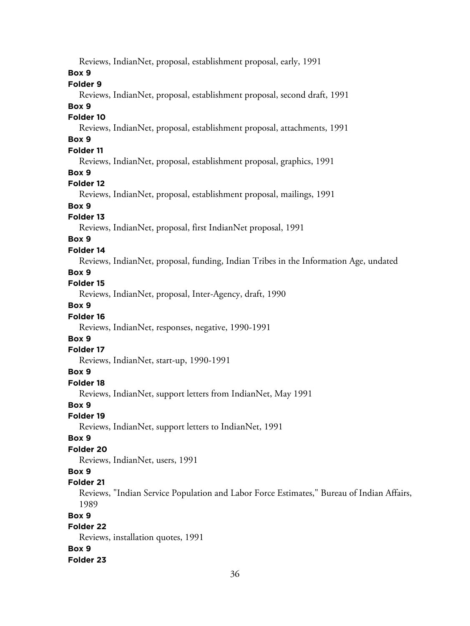Reviews, IndianNet, proposal, establishment proposal, early, 1991

### **Box 9**

### **Folder 9**

Reviews, IndianNet, proposal, establishment proposal, second draft, 1991

#### **Box 9**

### **Folder 10**

Reviews, IndianNet, proposal, establishment proposal, attachments, 1991

# **Box 9**

# **Folder 11**

Reviews, IndianNet, proposal, establishment proposal, graphics, 1991

### **Box 9**

### **Folder 12**

Reviews, IndianNet, proposal, establishment proposal, mailings, 1991

# **Box 9**

#### **Folder 13**

Reviews, IndianNet, proposal, first IndianNet proposal, 1991

# **Box 9**

#### **Folder 14**

Reviews, IndianNet, proposal, funding, Indian Tribes in the Information Age, undated

#### **Box 9**

### **Folder 15**

Reviews, IndianNet, proposal, Inter-Agency, draft, 1990

# **Box 9**

### **Folder 16**

Reviews, IndianNet, responses, negative, 1990-1991

# **Box 9**

#### **Folder 17**

Reviews, IndianNet, start-up, 1990-1991

### **Box 9**

#### **Folder 18**

Reviews, IndianNet, support letters from IndianNet, May 1991

#### **Box 9**

**Folder 19**

Reviews, IndianNet, support letters to IndianNet, 1991

#### **Box 9**

### **Folder 20**

Reviews, IndianNet, users, 1991

### **Box 9**

### **Folder 21**

Reviews, "Indian Service Population and Labor Force Estimates," Bureau of Indian Affairs, 1989

### **Box 9**

# **Folder 22**

Reviews, installation quotes, 1991 **Box 9**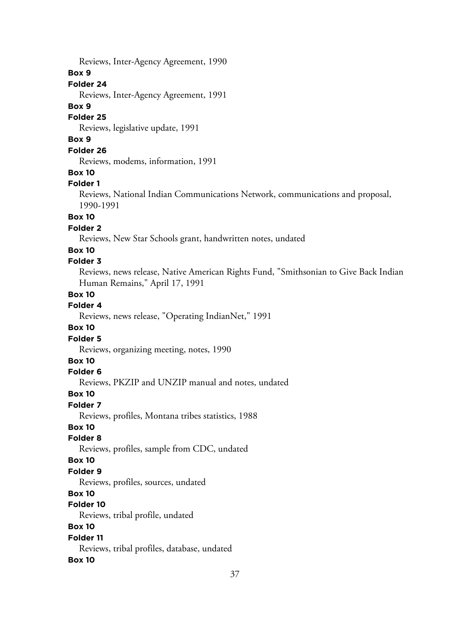Reviews, Inter-Agency Agreement, 1990

### **Box 9**

### **Folder 24**

Reviews, Inter-Agency Agreement, 1991

### **Box 9**

### **Folder 25**

Reviews, legislative update, 1991

# **Box 9**

# **Folder 26**

Reviews, modems, information, 1991

### **Box 10**

### **Folder 1**

Reviews, National Indian Communications Network, communications and proposal, 1990-1991

# **Box 10**

# **Folder 2**

Reviews, New Star Schools grant, handwritten notes, undated

### **Box 10**

# **Folder 3**

Reviews, news release, Native American Rights Fund, "Smithsonian to Give Back Indian Human Remains," April 17, 1991

### **Box 10**

# **Folder 4**

Reviews, news release, "Operating IndianNet," 1991

### **Box 10**

# **Folder 5**

Reviews, organizing meeting, notes, 1990

# **Box 10**

# **Folder 6**

Reviews, PKZIP and UNZIP manual and notes, undated

#### **Box 10**

### **Folder 7**

Reviews, profiles, Montana tribes statistics, 1988

### **Box 10**

### **Folder 8**

Reviews, profiles, sample from CDC, undated

### **Box 10**

### **Folder 9**

Reviews, profiles, sources, undated

# **Box 10**

### **Folder 10**

Reviews, tribal profile, undated

# **Box 10**

### **Folder 11**

Reviews, tribal profiles, database, undated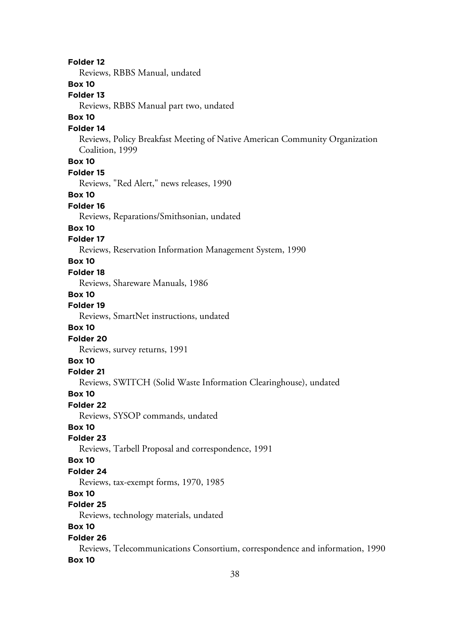38 **Folder 12** Reviews, RBBS Manual, undated **Box 10 Folder 13** Reviews, RBBS Manual part two, undated **Box 10 Folder 14** Reviews, Policy Breakfast Meeting of Native American Community Organization Coalition, 1999 **Box 10 Folder 15** Reviews, "Red Alert," news releases, 1990 **Box 10 Folder 16** Reviews, Reparations/Smithsonian, undated **Box 10 Folder 17** Reviews, Reservation Information Management System, 1990 **Box 10 Folder 18** Reviews, Shareware Manuals, 1986 **Box 10 Folder 19** Reviews, SmartNet instructions, undated **Box 10 Folder 20** Reviews, survey returns, 1991 **Box 10 Folder 21** Reviews, SWITCH (Solid Waste Information Clearinghouse), undated **Box 10 Folder 22** Reviews, SYSOP commands, undated **Box 10 Folder 23** Reviews, Tarbell Proposal and correspondence, 1991 **Box 10 Folder 24** Reviews, tax-exempt forms, 1970, 1985 **Box 10 Folder 25** Reviews, technology materials, undated **Box 10 Folder 26** Reviews, Telecommunications Consortium, correspondence and information, 1990 **Box 10**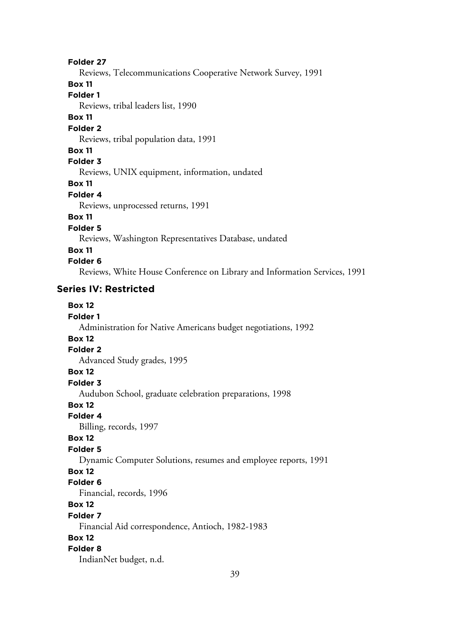Reviews, Telecommunications Cooperative Network Survey, 1991

### **Box 11**

**Folder 1**

Reviews, tribal leaders list, 1990

### **Box 11**

#### **Folder 2**

Reviews, tribal population data, 1991

### **Box 11**

**Folder 3**

Reviews, UNIX equipment, information, undated

#### **Box 11**

### **Folder 4**

Reviews, unprocessed returns, 1991

# **Box 11**

**Folder 5**

Reviews, Washington Representatives Database, undated

### **Box 11**

### **Folder 6**

Reviews, White House Conference on Library and Information Services, 1991

# **Series IV: Restricted**

# **Box 12**

#### **Folder 1**

Administration for Native Americans budget negotiations, 1992

# **Box 12**

# **Folder 2**

Advanced Study grades, 1995

# **Box 12**

# **Folder 3**

Audubon School, graduate celebration preparations, 1998

### **Box 12**

**Folder 4**

Billing, records, 1997

### **Box 12**

# **Folder 5**

Dynamic Computer Solutions, resumes and employee reports, 1991

# **Box 12**

### **Folder 6**

Financial, records, 1996

# **Box 12**

#### **Folder 7**

Financial Aid correspondence, Antioch, 1982-1983

# **Box 12**

### **Folder 8**

IndianNet budget, n.d.